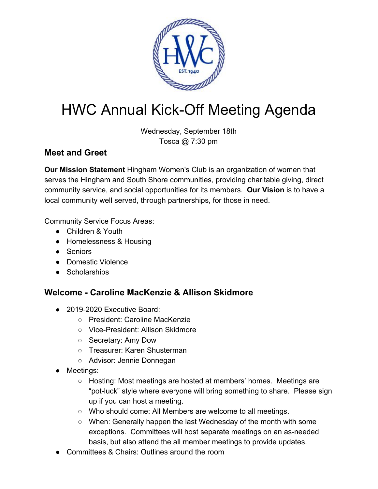

# HWC Annual Kick-Off Meeting Agenda

Wednesday, September 18th Tosca @ 7:30 pm

## **Meet and Greet**

**Our Mission Statement** Hingham Women's Club is an organization of women that serves the Hingham and South Shore communities, providing charitable giving, direct community service, and social opportunities for its members. **Our Vision** is to have a local community well served, through partnerships, for those in need.

Community Service Focus Areas:

- Children & Youth
- Homelessness & Housing
- Seniors
- Domestic Violence
- Scholarships

### **Welcome - Caroline MacKenzie & Allison Skidmore**

- 2019-2020 Executive Board:
	- President: Caroline MacKenzie
	- Vice-President: Allison Skidmore
	- Secretary: Amy Dow
	- Treasurer: Karen Shusterman
	- Advisor: Jennie Donnegan
- Meetings:
	- $\circ$  Hosting: Most meetings are hosted at members' homes. Meetings are "pot-luck" style where everyone will bring something to share. Please sign up if you can host a meeting.
	- Who should come: All Members are welcome to all meetings.
	- $\circ$  When: Generally happen the last Wednesday of the month with some exceptions. Committees will host separate meetings on an as-needed basis, but also attend the all member meetings to provide updates.
- Committees & Chairs: Outlines around the room